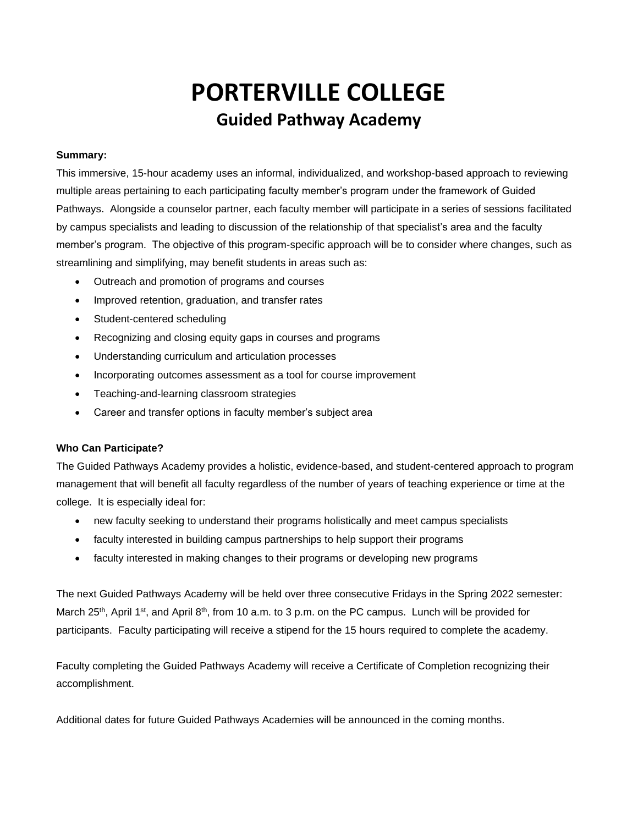## **PORTERVILLE COLLEGE Guided Pathway Academy**

## **Summary:**

This immersive, 15-hour academy uses an informal, individualized, and workshop-based approach to reviewing multiple areas pertaining to each participating faculty member's program under the framework of Guided Pathways. Alongside a counselor partner, each faculty member will participate in a series of sessions facilitated by campus specialists and leading to discussion of the relationship of that specialist's area and the faculty member's program. The objective of this program-specific approach will be to consider where changes, such as streamlining and simplifying, may benefit students in areas such as:

- Outreach and promotion of programs and courses
- Improved retention, graduation, and transfer rates
- Student-centered scheduling
- Recognizing and closing equity gaps in courses and programs
- Understanding curriculum and articulation processes
- Incorporating outcomes assessment as a tool for course improvement
- Teaching-and-learning classroom strategies
- Career and transfer options in faculty member's subject area

## **Who Can Participate?**

The Guided Pathways Academy provides a holistic, evidence-based, and student-centered approach to program management that will benefit all faculty regardless of the number of years of teaching experience or time at the college. It is especially ideal for:

- new faculty seeking to understand their programs holistically and meet campus specialists
- faculty interested in building campus partnerships to help support their programs
- faculty interested in making changes to their programs or developing new programs

The next Guided Pathways Academy will be held over three consecutive Fridays in the Spring 2022 semester: March 25<sup>th</sup>, April 1<sup>st</sup>, and April 8<sup>th</sup>, from 10 a.m. to 3 p.m. on the PC campus. Lunch will be provided for participants. Faculty participating will receive a stipend for the 15 hours required to complete the academy.

Faculty completing the Guided Pathways Academy will receive a Certificate of Completion recognizing their accomplishment.

Additional dates for future Guided Pathways Academies will be announced in the coming months.